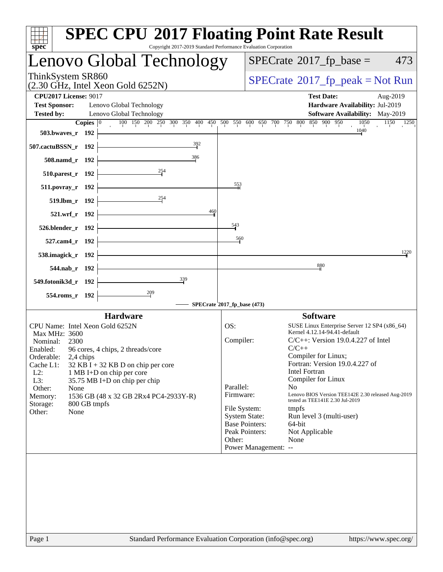|                                 |                    | Lenovo Global Technology                                    |                                           |                       | $SPECrate^{\circledcirc}2017$ fp base =                               | 473  |
|---------------------------------|--------------------|-------------------------------------------------------------|-------------------------------------------|-----------------------|-----------------------------------------------------------------------|------|
| ThinkSystem SR860               |                    |                                                             |                                           |                       | $SPECrate^{\circ}2017$ _fp_peak = Not Run                             |      |
| <b>CPU2017 License: 9017</b>    |                    | $(2.30 \text{ GHz}, \text{Intel Xeon Gold } 6252\text{N})$  |                                           |                       | <b>Test Date:</b><br>Aug-2019                                         |      |
| <b>Test Sponsor:</b>            |                    | Lenovo Global Technology                                    |                                           |                       | Hardware Availability: Jul-2019                                       |      |
| <b>Tested by:</b>               |                    | Lenovo Global Technology                                    |                                           |                       | <b>Software Availability:</b> May-2019                                |      |
|                                 | Copies $ 0\rangle$ | 100 150 200 250 300 350<br>400 450                          | $\overline{500}$ 550                      | 600 650 700 750 800   | 850 900 950<br>1050<br>1150                                           | 1250 |
| 503.bwaves_r 192                |                    |                                                             |                                           |                       | 1040                                                                  |      |
| 507.cactuBSSN_r 192             |                    | 392                                                         |                                           |                       |                                                                       |      |
| 508.namd r 192                  |                    | 386                                                         |                                           |                       |                                                                       |      |
| 510.parest_r 192                |                    | 254                                                         |                                           |                       |                                                                       |      |
| 511.povray_r 192                |                    |                                                             | $\frac{553}{1}$                           |                       |                                                                       |      |
| 519.lbm_r 192                   |                    | 254                                                         |                                           |                       |                                                                       |      |
| 521.wrf_r 192                   |                    |                                                             | $\frac{460}{1}$                           |                       |                                                                       |      |
| 526.blender_r 192               |                    |                                                             | $\frac{543}{5}$                           |                       |                                                                       |      |
| 527.cam4_r 192                  |                    |                                                             | 560                                       |                       |                                                                       |      |
| 538.imagick_r 192               |                    |                                                             |                                           |                       |                                                                       | 1220 |
| 544.nab_r 192                   |                    |                                                             |                                           |                       | 880                                                                   |      |
| 549.fotonik3d_r 192             |                    | 339                                                         |                                           |                       |                                                                       |      |
| 554.roms_r 192                  |                    | $\frac{209}{2}$                                             |                                           |                       |                                                                       |      |
|                                 |                    |                                                             | SPECrate <sup>\$</sup> 2017_fp_base (473) |                       |                                                                       |      |
|                                 |                    | <b>Hardware</b>                                             |                                           |                       | <b>Software</b>                                                       |      |
| CPU Name: Intel Xeon Gold 6252N |                    |                                                             | OS:                                       |                       | SUSE Linux Enterprise Server 12 SP4 (x86_64)                          |      |
| Max MHz: 3600                   |                    |                                                             | Compiler:                                 |                       | Kernel 4.12.14-94.41-default<br>$C/C++$ : Version 19.0.4.227 of Intel |      |
| Nominal:<br>2300<br>Enabled:    |                    | 96 cores, 4 chips, 2 threads/core                           |                                           |                       | $C/C++$                                                               |      |
| Orderable:                      | 2,4 chips          |                                                             |                                           |                       | Compiler for Linux;                                                   |      |
| Cache L1:                       |                    | $32$ KB I + 32 KB D on chip per core                        |                                           |                       | Fortran: Version 19.0.4.227 of                                        |      |
| $L2$ :                          |                    | 1 MB I+D on chip per core                                   |                                           |                       | Intel Fortran                                                         |      |
| L3:<br>Other:<br>None           |                    | 35.75 MB I+D on chip per chip                               | Parallel:                                 |                       | Compiler for Linux<br>N <sub>0</sub>                                  |      |
| Memory:                         |                    | 1536 GB (48 x 32 GB 2Rx4 PC4-2933Y-R)                       | Firmware:                                 |                       | Lenovo BIOS Version TEE142E 2.30 released Aug-2019                    |      |
| Storage:                        | 800 GB tmpfs       |                                                             | File System:                              |                       | tested as TEE141E 2.30 Jul-2019<br>tmpfs                              |      |
| Other:<br>None                  |                    |                                                             |                                           | <b>System State:</b>  | Run level 3 (multi-user)                                              |      |
|                                 |                    |                                                             |                                           | <b>Base Pointers:</b> | 64-bit                                                                |      |
|                                 |                    |                                                             |                                           | Peak Pointers:        | Not Applicable                                                        |      |
|                                 |                    |                                                             | Other:                                    |                       | None                                                                  |      |
|                                 |                    |                                                             |                                           | Power Management: --  |                                                                       |      |
|                                 |                    |                                                             |                                           |                       |                                                                       |      |
|                                 |                    |                                                             |                                           |                       |                                                                       |      |
|                                 |                    |                                                             |                                           |                       |                                                                       |      |
|                                 |                    |                                                             |                                           |                       |                                                                       |      |
|                                 |                    |                                                             |                                           |                       |                                                                       |      |
|                                 |                    |                                                             |                                           |                       |                                                                       |      |
|                                 |                    |                                                             |                                           |                       |                                                                       |      |
|                                 |                    |                                                             |                                           |                       |                                                                       |      |
| Page 1                          |                    | Standard Performance Evaluation Corporation (info@spec.org) |                                           |                       | https://www.spec.org/                                                 |      |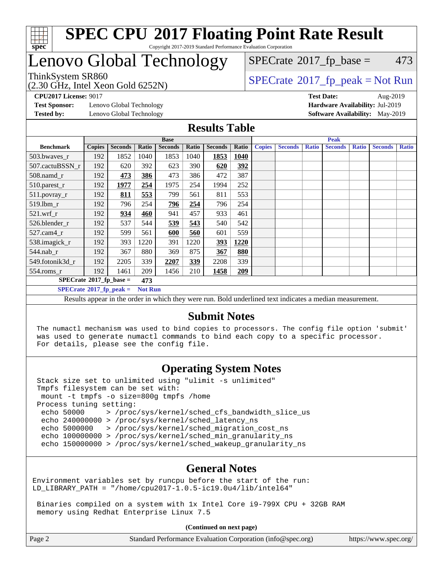

#### **[SPEC CPU](http://www.spec.org/auto/cpu2017/Docs/result-fields.html#SPECCPU2017FloatingPointRateResult)[2017 Floating Point Rate Result](http://www.spec.org/auto/cpu2017/Docs/result-fields.html#SPECCPU2017FloatingPointRateResult)** Copyright 2017-2019 Standard Performance Evaluation Corporation

### Lenovo Global Technology

ThinkSystem SR860<br>(2.30 GHz, Intel Xeon Gold 6252N)

 $SPECTate@2017_fp\_peak = Not Run$  $SPECTate$ <sup>®</sup>[2017\\_fp\\_base =](http://www.spec.org/auto/cpu2017/Docs/result-fields.html#SPECrate2017fpbase) 473

**[Test Sponsor:](http://www.spec.org/auto/cpu2017/Docs/result-fields.html#TestSponsor)** Lenovo Global Technology **[Hardware Availability:](http://www.spec.org/auto/cpu2017/Docs/result-fields.html#HardwareAvailability)** Jul-2019 **[Tested by:](http://www.spec.org/auto/cpu2017/Docs/result-fields.html#Testedby)** Lenovo Global Technology **[Software Availability:](http://www.spec.org/auto/cpu2017/Docs/result-fields.html#SoftwareAvailability)** May-2019

**[CPU2017 License:](http://www.spec.org/auto/cpu2017/Docs/result-fields.html#CPU2017License)** 9017 **[Test Date:](http://www.spec.org/auto/cpu2017/Docs/result-fields.html#TestDate)** Aug-2019

### **[Results Table](http://www.spec.org/auto/cpu2017/Docs/result-fields.html#ResultsTable)**

|                                                                                                                                                 | <b>Base</b>   |                |                |                |       | <b>Peak</b>    |       |               |                |              |                |              |                |              |
|-------------------------------------------------------------------------------------------------------------------------------------------------|---------------|----------------|----------------|----------------|-------|----------------|-------|---------------|----------------|--------------|----------------|--------------|----------------|--------------|
| <b>Benchmark</b>                                                                                                                                | <b>Copies</b> | <b>Seconds</b> | Ratio          | <b>Seconds</b> | Ratio | <b>Seconds</b> | Ratio | <b>Copies</b> | <b>Seconds</b> | <b>Ratio</b> | <b>Seconds</b> | <b>Ratio</b> | <b>Seconds</b> | <b>Ratio</b> |
| 503.bwayes_r                                                                                                                                    | 192           | 1852           | 1040           | 1853           | 1040  | 1853           | 1040  |               |                |              |                |              |                |              |
| 507.cactuBSSN r                                                                                                                                 | 192           | 620            | 392            | 623            | 390   | 620            | 392   |               |                |              |                |              |                |              |
| $508$ .namd $r$                                                                                                                                 | 192           | 473            | 386            | 473            | 386   | 472            | 387   |               |                |              |                |              |                |              |
| 510.parest_r                                                                                                                                    | 192           | 1977           | 254            | 1975           | 254   | 1994           | 252   |               |                |              |                |              |                |              |
| 511.povray_r                                                                                                                                    | 192           | 811            | 553            | 799            | 561   | 811            | 553   |               |                |              |                |              |                |              |
| 519.lbm r                                                                                                                                       | 192           | 796            | 254            | 796            | 254   | 796            | 254   |               |                |              |                |              |                |              |
| $521.wrf_r$                                                                                                                                     | 192           | 934            | 460            | 941            | 457   | 933            | 461   |               |                |              |                |              |                |              |
| 526.blender r                                                                                                                                   | 192           | 537            | 544            | 539            | 543   | 540            | 542   |               |                |              |                |              |                |              |
| $527.cam4_r$                                                                                                                                    | 192           | 599            | 561            | 600            | 560   | 601            | 559   |               |                |              |                |              |                |              |
| 538.imagick_r                                                                                                                                   | 192           | 393            | 1220           | 391            | 1220  | <u>393</u>     | 1220  |               |                |              |                |              |                |              |
| 544.nab_r                                                                                                                                       | 192           | 367            | 880            | 369            | 875   | 367            | 880   |               |                |              |                |              |                |              |
| 549.fotonik3d r                                                                                                                                 | 192           | 2205           | 339            | 2207           | 339   | 2208           | 339   |               |                |              |                |              |                |              |
| $554$ .roms_r                                                                                                                                   | 192           | 1461           | 209            | 1456           | 210   | 1458           | 209   |               |                |              |                |              |                |              |
| $SPECrate*2017_fp\_base =$                                                                                                                      |               |                | 473            |                |       |                |       |               |                |              |                |              |                |              |
| $SPECrate^{\circ}2017$ _fp_peak =                                                                                                               |               |                | <b>Not Run</b> |                |       |                |       |               |                |              |                |              |                |              |
| $\mathbf{H}$<br>$\mathbf{a}$ , $\mathbf{a}$ , $\mathbf{a}$<br>$\mathbf{r}$ $\mathbf{r}$<br>$\sim$<br>$\sim$ $\sim$<br><b><i><u>ALCO</u></i></b> |               |                |                |                |       |                |       |               |                |              |                |              |                |              |

Results appear in the [order in which they were run](http://www.spec.org/auto/cpu2017/Docs/result-fields.html#RunOrder). Bold underlined text [indicates a median measurement.](http://www.spec.org/auto/cpu2017/Docs/result-fields.html#Median)

### **[Submit Notes](http://www.spec.org/auto/cpu2017/Docs/result-fields.html#SubmitNotes)**

 The numactl mechanism was used to bind copies to processors. The config file option 'submit' was used to generate numactl commands to bind each copy to a specific processor. For details, please see the config file.

### **[Operating System Notes](http://www.spec.org/auto/cpu2017/Docs/result-fields.html#OperatingSystemNotes)**

 Stack size set to unlimited using "ulimit -s unlimited" Tmpfs filesystem can be set with: mount -t tmpfs -o size=800g tmpfs /home Process tuning setting: echo 50000 > /proc/sys/kernel/sched\_cfs\_bandwidth\_slice\_us echo 240000000 > /proc/sys/kernel/sched\_latency\_ns echo 5000000 > /proc/sys/kernel/sched\_migration\_cost\_ns echo 100000000 > /proc/sys/kernel/sched\_min\_granularity\_ns echo 150000000 > /proc/sys/kernel/sched\_wakeup\_granularity\_ns

### **[General Notes](http://www.spec.org/auto/cpu2017/Docs/result-fields.html#GeneralNotes)**

Environment variables set by runcpu before the start of the run: LD\_LIBRARY\_PATH = "/home/cpu2017-1.0.5-ic19.0u4/lib/intel64"

 Binaries compiled on a system with 1x Intel Core i9-799X CPU + 32GB RAM memory using Redhat Enterprise Linux 7.5

**(Continued on next page)**

| Page 2 | Standard Performance Evaluation Corporation (info@spec.org) | https://www.spec.org/ |
|--------|-------------------------------------------------------------|-----------------------|
|--------|-------------------------------------------------------------|-----------------------|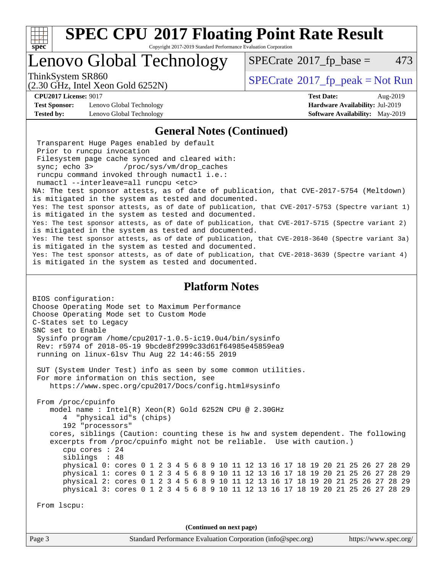

Copyright 2017-2019 Standard Performance Evaluation Corporation

### Lenovo Global Technology

 $SPECTate$ <sup>®</sup>[2017\\_fp\\_base =](http://www.spec.org/auto/cpu2017/Docs/result-fields.html#SPECrate2017fpbase) 473

(2.30 GHz, Intel Xeon Gold 6252N)

ThinkSystem SR860<br>  $SPECrate^{\circ}2017$  $SPECrate^{\circ}2017$  fp\_peak = Not Run

**[Test Sponsor:](http://www.spec.org/auto/cpu2017/Docs/result-fields.html#TestSponsor)** Lenovo Global Technology **[Hardware Availability:](http://www.spec.org/auto/cpu2017/Docs/result-fields.html#HardwareAvailability)** Jul-2019 **[Tested by:](http://www.spec.org/auto/cpu2017/Docs/result-fields.html#Testedby)** Lenovo Global Technology **[Software Availability:](http://www.spec.org/auto/cpu2017/Docs/result-fields.html#SoftwareAvailability)** May-2019

**[CPU2017 License:](http://www.spec.org/auto/cpu2017/Docs/result-fields.html#CPU2017License)** 9017 **[Test Date:](http://www.spec.org/auto/cpu2017/Docs/result-fields.html#TestDate)** Aug-2019

#### **[General Notes \(Continued\)](http://www.spec.org/auto/cpu2017/Docs/result-fields.html#GeneralNotes)**

 Transparent Huge Pages enabled by default Prior to runcpu invocation Filesystem page cache synced and cleared with: sync; echo 3> /proc/sys/vm/drop\_caches runcpu command invoked through numactl i.e.: numactl --interleave=all runcpu <etc> NA: The test sponsor attests, as of date of publication, that CVE-2017-5754 (Meltdown) is mitigated in the system as tested and documented. Yes: The test sponsor attests, as of date of publication, that CVE-2017-5753 (Spectre variant 1) is mitigated in the system as tested and documented. Yes: The test sponsor attests, as of date of publication, that CVE-2017-5715 (Spectre variant 2) is mitigated in the system as tested and documented. Yes: The test sponsor attests, as of date of publication, that CVE-2018-3640 (Spectre variant 3a) is mitigated in the system as tested and documented. Yes: The test sponsor attests, as of date of publication, that CVE-2018-3639 (Spectre variant 4) is mitigated in the system as tested and documented.

#### **[Platform Notes](http://www.spec.org/auto/cpu2017/Docs/result-fields.html#PlatformNotes)**

BIOS configuration: Choose Operating Mode set to Maximum Performance Choose Operating Mode set to Custom Mode C-States set to Legacy SNC set to Enable Sysinfo program /home/cpu2017-1.0.5-ic19.0u4/bin/sysinfo Rev: r5974 of 2018-05-19 9bcde8f2999c33d61f64985e45859ea9 running on linux-6lsv Thu Aug 22 14:46:55 2019 SUT (System Under Test) info as seen by some common utilities. For more information on this section, see <https://www.spec.org/cpu2017/Docs/config.html#sysinfo> From /proc/cpuinfo model name : Intel(R) Xeon(R) Gold 6252N CPU @ 2.30GHz 4 "physical id"s (chips) 192 "processors" cores, siblings (Caution: counting these is hw and system dependent. The following excerpts from /proc/cpuinfo might not be reliable. Use with caution.) cpu cores : 24 siblings : 48 physical 0: cores 0 1 2 3 4 5 6 8 9 10 11 12 13 16 17 18 19 20 21 25 26 27 28 29 physical 1: cores 0 1 2 3 4 5 6 8 9 10 11 12 13 16 17 18 19 20 21 25 26 27 28 29 physical 2: cores 0 1 2 3 4 5 6 8 9 10 11 12 13 16 17 18 19 20 21 25 26 27 28 29 physical 3: cores 0 1 2 3 4 5 6 8 9 10 11 12 13 16 17 18 19 20 21 25 26 27 28 29 From lscpu: **(Continued on next page)**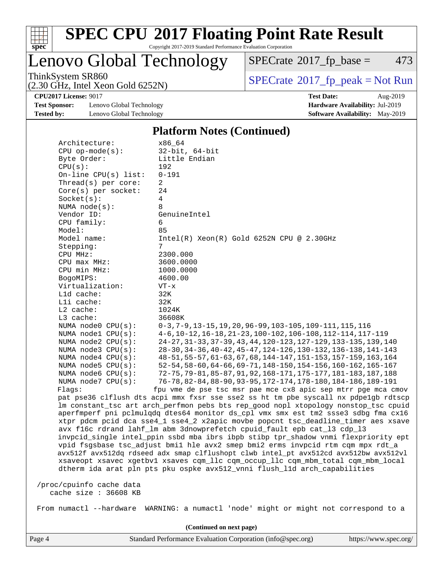

Copyright 2017-2019 Standard Performance Evaluation Corporation

Lenovo Global Technology

 $SPECTate@2017_fp\_base = 473$ 

(2.30 GHz, Intel Xeon Gold 6252N)

ThinkSystem SR860<br>  $(2, 30 \text{ GHz})$  Intel Xeon Gold 6252N)

**[Test Sponsor:](http://www.spec.org/auto/cpu2017/Docs/result-fields.html#TestSponsor)** Lenovo Global Technology **[Hardware Availability:](http://www.spec.org/auto/cpu2017/Docs/result-fields.html#HardwareAvailability)** Jul-2019 **[Tested by:](http://www.spec.org/auto/cpu2017/Docs/result-fields.html#Testedby)** Lenovo Global Technology **[Software Availability:](http://www.spec.org/auto/cpu2017/Docs/result-fields.html#SoftwareAvailability)** May-2019

**[CPU2017 License:](http://www.spec.org/auto/cpu2017/Docs/result-fields.html#CPU2017License)** 9017 **[Test Date:](http://www.spec.org/auto/cpu2017/Docs/result-fields.html#TestDate)** Aug-2019

#### **[Platform Notes \(Continued\)](http://www.spec.org/auto/cpu2017/Docs/result-fields.html#PlatformNotes)**

| Architecture:            | x86 64                                                                               |
|--------------------------|--------------------------------------------------------------------------------------|
| $CPU$ op-mode( $s$ ):    | 32-bit, 64-bit                                                                       |
| Byte Order:<br>CPU(s):   | Little Endian<br>192                                                                 |
|                          | $0 - 191$                                                                            |
| On-line $CPU(s)$ list:   |                                                                                      |
| Thread(s) per core:      | 2                                                                                    |
| $Core(s)$ per socket:    | 24                                                                                   |
| Socket(s):               | 4                                                                                    |
| NUMA $node(s):$          | 8                                                                                    |
| Vendor ID:               | GenuineIntel                                                                         |
| CPU family:              | 6                                                                                    |
| Model:                   | 85                                                                                   |
| Model name:              | $Intel(R)$ Xeon $(R)$ Gold 6252N CPU @ 2.30GHz                                       |
| Stepping:                | 7                                                                                    |
| CPU MHz:                 | 2300.000                                                                             |
| CPU max MHz:             | 3600.0000                                                                            |
| CPU min MHz:             | 1000.0000                                                                            |
| BogoMIPS:                | 4600.00                                                                              |
| Virtualization:          | $VT - x$                                                                             |
| $L1d$ cache:             | 32K                                                                                  |
| Lli cache:               | 32K                                                                                  |
| $L2$ cache:              | 1024K                                                                                |
| L3 cache:                | 36608K                                                                               |
| NUMA node0 CPU(s):       | $0-3, 7-9, 13-15, 19, 20, 96-99, 103-105, 109-111, 115, 116$                         |
| NUMA nodel CPU(s):       | 4-6, 10-12, 16-18, 21-23, 100-102, 106-108, 112-114, 117-119                         |
| NUMA node2 CPU(s):       | 24-27, 31-33, 37-39, 43, 44, 120-123, 127-129, 133-135, 139, 140                     |
| NUMA node3 CPU(s):       | 28-30, 34-36, 40-42, 45-47, 124-126, 130-132, 136-138, 141-143                       |
| NUMA $node4$ $CPU(s):$   | 48-51, 55-57, 61-63, 67, 68, 144-147, 151-153, 157-159, 163, 164                     |
| NUMA $node5$ $CPU(s):$   | 52-54, 58-60, 64-66, 69-71, 148-150, 154-156, 160-162, 165-167                       |
| NUMA $node6$ $CPU(s)$ :  | 72-75,79-81,85-87,91,92,168-171,175-177,181-183,187,188                              |
| NUMA $node7$ CPU $(s)$ : | 76-78, 82-84, 88-90, 93-95, 172-174, 178-180, 184-186, 189-191                       |
| Flags:                   | fpu vme de pse tsc msr pae mce cx8 apic sep mtrr pge mca cmov                        |
|                          | pat pse36 clflush dts acpi mmx fxsr sse sse2 ss ht tm pbe syscall nx pdpelgb rdtscp  |
|                          | lm constant_tsc art arch_perfmon pebs bts rep_good nopl xtopology nonstop_tsc cpuid  |
|                          | aperfmperf pni pclmulqdq dtes64 monitor ds_cpl vmx smx est tm2 ssse3 sdbg fma cx16   |
|                          | xtpr pdcm pcid dca sse4_1 sse4_2 x2apic movbe popcnt tsc_deadline_timer aes xsave    |
|                          | avx f16c rdrand lahf_lm abm 3dnowprefetch cpuid_fault epb cat_13 cdp_13              |
|                          | invpcid_single intel_ppin ssbd mba ibrs ibpb stibp tpr_shadow vnmi flexpriority ept  |
|                          |                                                                                      |
|                          | vpid fsgsbase tsc_adjust bmil hle avx2 smep bmi2 erms invpcid rtm cqm mpx rdt_a      |
|                          | avx512f avx512dq rdseed adx smap clflushopt clwb intel_pt avx512cd avx512bw avx512vl |
|                          | xsaveopt xsavec xgetbvl xsaves cqm_llc cqm_occup_llc cqm_mbm_total cqm_mbm_local     |
|                          | dtherm ida arat pln pts pku ospke avx512_vnni flush_lld arch_capabilities            |
|                          |                                                                                      |
| /proc/cpuinfo cache data |                                                                                      |
| cache size : 36608 KB    |                                                                                      |
| From numactl --hardware  | WARNING: a numactl 'node' might or might not correspond to a                         |
|                          |                                                                                      |

**(Continued on next page)**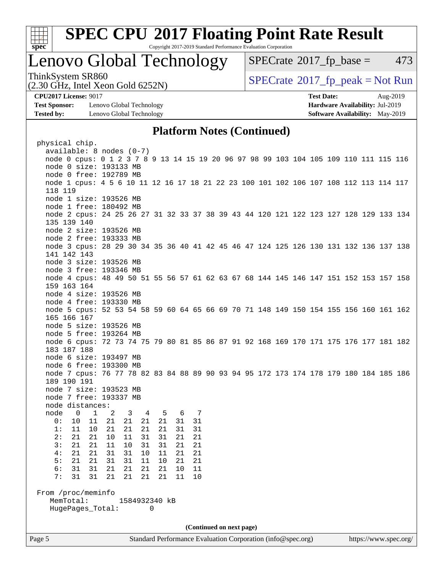

Copyright 2017-2019 Standard Performance Evaluation Corporation

### Lenovo Global Technology

 $SPECTate$ <sup>®</sup>[2017\\_fp\\_base =](http://www.spec.org/auto/cpu2017/Docs/result-fields.html#SPECrate2017fpbase) 473

(2.30 GHz, Intel Xeon Gold 6252N)

ThinkSystem SR860<br>  $SPECTI<sub>2</sub> Intel Yes on Gold 6352N$ 

**[Test Sponsor:](http://www.spec.org/auto/cpu2017/Docs/result-fields.html#TestSponsor)** Lenovo Global Technology **[Hardware Availability:](http://www.spec.org/auto/cpu2017/Docs/result-fields.html#HardwareAvailability)** Jul-2019 **[Tested by:](http://www.spec.org/auto/cpu2017/Docs/result-fields.html#Testedby)** Lenovo Global Technology **[Software Availability:](http://www.spec.org/auto/cpu2017/Docs/result-fields.html#SoftwareAvailability)** May-2019

**[CPU2017 License:](http://www.spec.org/auto/cpu2017/Docs/result-fields.html#CPU2017License)** 9017 **[Test Date:](http://www.spec.org/auto/cpu2017/Docs/result-fields.html#TestDate)** Aug-2019

### **[Platform Notes \(Continued\)](http://www.spec.org/auto/cpu2017/Docs/result-fields.html#PlatformNotes)**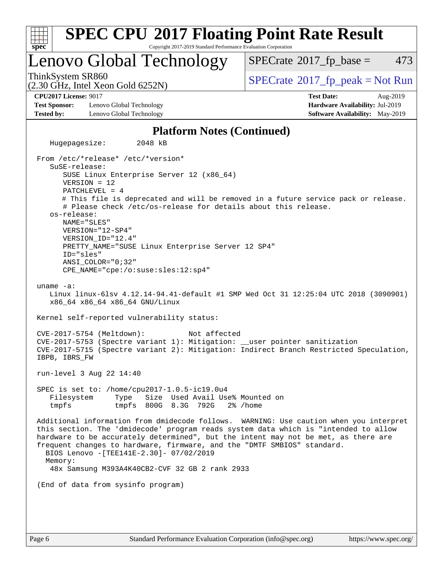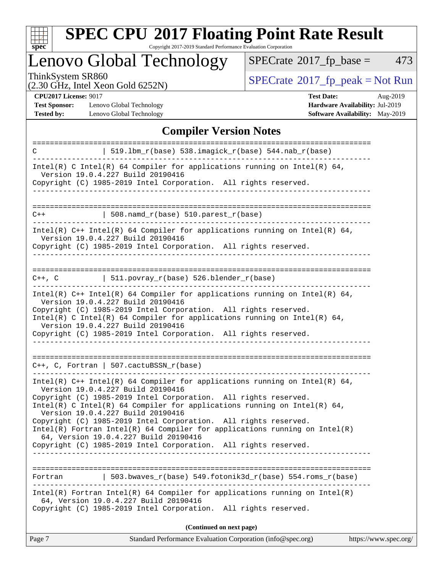

Copyright 2017-2019 Standard Performance Evaluation Corporation

# Lenovo Global Technology

 $SPECTate@2017_fp\_base = 473$ 

(2.30 GHz, Intel Xeon Gold 6252N)

ThinkSystem SR860<br>  $(2, 30 \text{ GHz})$  Intel Xeon Gold 6252N)

**[CPU2017 License:](http://www.spec.org/auto/cpu2017/Docs/result-fields.html#CPU2017License)** 9017

[Test Sponsor:](http://www.spec.org/auto/cpu2017/Docs/result-fields.html#TestSponsor) Lenovo Global Technology **[Tested by:](http://www.spec.org/auto/cpu2017/Docs/result-fields.html#Testedby)** Lenovo Global Technology **[Software Availability:](http://www.spec.org/auto/cpu2017/Docs/result-fields.html#SoftwareAvailability)** May-2019

| <b>Test Date:</b>                      | Aug-2019 |
|----------------------------------------|----------|
| <b>Hardware Availability: Jul-2019</b> |          |
| Software Availahility• May_2010        |          |

### **[Compiler Version Notes](http://www.spec.org/auto/cpu2017/Docs/result-fields.html#CompilerVersionNotes)**

| C                                          | 519.1bm_r(base) 538.imagick_r(base) 544.nab_r(base)                                                                                                                                                                                                              |
|--------------------------------------------|------------------------------------------------------------------------------------------------------------------------------------------------------------------------------------------------------------------------------------------------------------------|
|                                            | Intel(R) C Intel(R) 64 Compiler for applications running on Intel(R) 64,<br>Version 19.0.4.227 Build 20190416                                                                                                                                                    |
|                                            | Copyright (C) 1985-2019 Intel Corporation. All rights reserved.                                                                                                                                                                                                  |
| $C++$                                      | $508.n$ amd_r(base) $510.parest_r(base)$                                                                                                                                                                                                                         |
|                                            | Intel(R) $C++$ Intel(R) 64 Compiler for applications running on Intel(R) 64,<br>Version 19.0.4.227 Build 20190416                                                                                                                                                |
|                                            | Copyright (C) 1985-2019 Intel Corporation. All rights reserved.                                                                                                                                                                                                  |
| ===========================<br>$C++$ , $C$ | $\vert$ 511.povray_r(base) 526.blender_r(base)                                                                                                                                                                                                                   |
|                                            | Intel(R) $C++$ Intel(R) 64 Compiler for applications running on Intel(R) 64,<br>Version 19.0.4.227 Build 20190416<br>Copyright (C) 1985-2019 Intel Corporation. All rights reserved.<br>Intel(R) C Intel(R) 64 Compiler for applications running on Intel(R) 64, |
|                                            | Version 19.0.4.227 Build 20190416<br>Copyright (C) 1985-2019 Intel Corporation. All rights reserved.                                                                                                                                                             |
|                                            | $C_{++}$ , C, Fortran   507.cactuBSSN_r(base)                                                                                                                                                                                                                    |
|                                            | Intel(R) $C++$ Intel(R) 64 Compiler for applications running on Intel(R) 64,<br>Version 19.0.4.227 Build 20190416<br>Copyright (C) 1985-2019 Intel Corporation. All rights reserved.                                                                             |
|                                            | Intel(R) C Intel(R) 64 Compiler for applications running on Intel(R) 64,<br>Version 19.0.4.227 Build 20190416                                                                                                                                                    |
|                                            | Copyright (C) 1985-2019 Intel Corporation. All rights reserved.<br>$Intel(R)$ Fortran Intel(R) 64 Compiler for applications running on Intel(R)<br>64, Version 19.0.4.227 Build 20190416                                                                         |
|                                            | Copyright (C) 1985-2019 Intel Corporation. All rights reserved.                                                                                                                                                                                                  |
| Fortran                                    | 503.bwaves r(base) 549.fotonik3d r(base) 554.roms r(base)                                                                                                                                                                                                        |
|                                            | Intel(R) Fortran Intel(R) 64 Compiler for applications running on $Intel(R)$<br>64, Version 19.0.4.227 Build 20190416<br>Copyright (C) 1985-2019 Intel Corporation. All rights reserved.                                                                         |
|                                            | (Continued on next page)                                                                                                                                                                                                                                         |
| Page 7                                     | Standard Performance Evaluation Corporation (info@spec.org)<br>https://www.spec.org/                                                                                                                                                                             |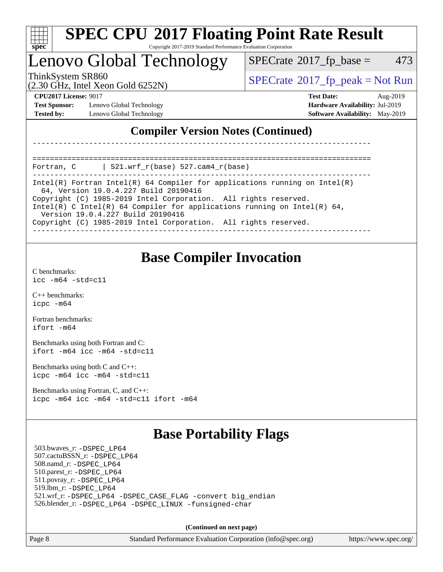

#### **[SPEC CPU](http://www.spec.org/auto/cpu2017/Docs/result-fields.html#SPECCPU2017FloatingPointRateResult)[2017 Floating Point Rate Result](http://www.spec.org/auto/cpu2017/Docs/result-fields.html#SPECCPU2017FloatingPointRateResult)** Copyright 2017-2019 Standard Performance Evaluation Corporation

### Lenovo Global Technology

 $SPECTate$ <sup>®</sup>[2017\\_fp\\_base =](http://www.spec.org/auto/cpu2017/Docs/result-fields.html#SPECrate2017fpbase) 473

(2.30 GHz, Intel Xeon Gold 6252N)

ThinkSystem SR860<br>  $SPECrate^{\circ}2017$  $SPECrate^{\circ}2017$  fp\_peak = Not Run

**[Test Sponsor:](http://www.spec.org/auto/cpu2017/Docs/result-fields.html#TestSponsor)** Lenovo Global Technology **[Hardware Availability:](http://www.spec.org/auto/cpu2017/Docs/result-fields.html#HardwareAvailability)** Jul-2019 **[Tested by:](http://www.spec.org/auto/cpu2017/Docs/result-fields.html#Testedby)** Lenovo Global Technology **[Software Availability:](http://www.spec.org/auto/cpu2017/Docs/result-fields.html#SoftwareAvailability)** May-2019

**[CPU2017 License:](http://www.spec.org/auto/cpu2017/Docs/result-fields.html#CPU2017License)** 9017 **[Test Date:](http://www.spec.org/auto/cpu2017/Docs/result-fields.html#TestDate)** Aug-2019

### **[Compiler Version Notes \(Continued\)](http://www.spec.org/auto/cpu2017/Docs/result-fields.html#CompilerVersionNotes)**

============================================================================== Fortran, C | 521.wrf\_r(base) 527.cam4\_r(base)

------------------------------------------------------------------------------ Intel(R) Fortran Intel(R) 64 Compiler for applications running on Intel(R) 64, Version 19.0.4.227 Build 20190416

------------------------------------------------------------------------------

Copyright (C) 1985-2019 Intel Corporation. All rights reserved.

Intel(R) C Intel(R) 64 Compiler for applications running on Intel(R) 64,

Version 19.0.4.227 Build 20190416

Copyright (C) 1985-2019 Intel Corporation. All rights reserved.

------------------------------------------------------------------------------

### **[Base Compiler Invocation](http://www.spec.org/auto/cpu2017/Docs/result-fields.html#BaseCompilerInvocation)**

[C benchmarks](http://www.spec.org/auto/cpu2017/Docs/result-fields.html#Cbenchmarks): [icc -m64 -std=c11](http://www.spec.org/cpu2017/results/res2019q3/cpu2017-20190902-17498.flags.html#user_CCbase_intel_icc_64bit_c11_33ee0cdaae7deeeab2a9725423ba97205ce30f63b9926c2519791662299b76a0318f32ddfffdc46587804de3178b4f9328c46fa7c2b0cd779d7a61945c91cd35)

[C++ benchmarks:](http://www.spec.org/auto/cpu2017/Docs/result-fields.html#CXXbenchmarks) [icpc -m64](http://www.spec.org/cpu2017/results/res2019q3/cpu2017-20190902-17498.flags.html#user_CXXbase_intel_icpc_64bit_4ecb2543ae3f1412ef961e0650ca070fec7b7afdcd6ed48761b84423119d1bf6bdf5cad15b44d48e7256388bc77273b966e5eb805aefd121eb22e9299b2ec9d9)

[Fortran benchmarks](http://www.spec.org/auto/cpu2017/Docs/result-fields.html#Fortranbenchmarks): [ifort -m64](http://www.spec.org/cpu2017/results/res2019q3/cpu2017-20190902-17498.flags.html#user_FCbase_intel_ifort_64bit_24f2bb282fbaeffd6157abe4f878425411749daecae9a33200eee2bee2fe76f3b89351d69a8130dd5949958ce389cf37ff59a95e7a40d588e8d3a57e0c3fd751)

[Benchmarks using both Fortran and C](http://www.spec.org/auto/cpu2017/Docs/result-fields.html#BenchmarksusingbothFortranandC): [ifort -m64](http://www.spec.org/cpu2017/results/res2019q3/cpu2017-20190902-17498.flags.html#user_CC_FCbase_intel_ifort_64bit_24f2bb282fbaeffd6157abe4f878425411749daecae9a33200eee2bee2fe76f3b89351d69a8130dd5949958ce389cf37ff59a95e7a40d588e8d3a57e0c3fd751) [icc -m64 -std=c11](http://www.spec.org/cpu2017/results/res2019q3/cpu2017-20190902-17498.flags.html#user_CC_FCbase_intel_icc_64bit_c11_33ee0cdaae7deeeab2a9725423ba97205ce30f63b9926c2519791662299b76a0318f32ddfffdc46587804de3178b4f9328c46fa7c2b0cd779d7a61945c91cd35)

[Benchmarks using both C and C++](http://www.spec.org/auto/cpu2017/Docs/result-fields.html#BenchmarksusingbothCandCXX): [icpc -m64](http://www.spec.org/cpu2017/results/res2019q3/cpu2017-20190902-17498.flags.html#user_CC_CXXbase_intel_icpc_64bit_4ecb2543ae3f1412ef961e0650ca070fec7b7afdcd6ed48761b84423119d1bf6bdf5cad15b44d48e7256388bc77273b966e5eb805aefd121eb22e9299b2ec9d9) [icc -m64 -std=c11](http://www.spec.org/cpu2017/results/res2019q3/cpu2017-20190902-17498.flags.html#user_CC_CXXbase_intel_icc_64bit_c11_33ee0cdaae7deeeab2a9725423ba97205ce30f63b9926c2519791662299b76a0318f32ddfffdc46587804de3178b4f9328c46fa7c2b0cd779d7a61945c91cd35)

[Benchmarks using Fortran, C, and C++:](http://www.spec.org/auto/cpu2017/Docs/result-fields.html#BenchmarksusingFortranCandCXX) [icpc -m64](http://www.spec.org/cpu2017/results/res2019q3/cpu2017-20190902-17498.flags.html#user_CC_CXX_FCbase_intel_icpc_64bit_4ecb2543ae3f1412ef961e0650ca070fec7b7afdcd6ed48761b84423119d1bf6bdf5cad15b44d48e7256388bc77273b966e5eb805aefd121eb22e9299b2ec9d9) [icc -m64 -std=c11](http://www.spec.org/cpu2017/results/res2019q3/cpu2017-20190902-17498.flags.html#user_CC_CXX_FCbase_intel_icc_64bit_c11_33ee0cdaae7deeeab2a9725423ba97205ce30f63b9926c2519791662299b76a0318f32ddfffdc46587804de3178b4f9328c46fa7c2b0cd779d7a61945c91cd35) [ifort -m64](http://www.spec.org/cpu2017/results/res2019q3/cpu2017-20190902-17498.flags.html#user_CC_CXX_FCbase_intel_ifort_64bit_24f2bb282fbaeffd6157abe4f878425411749daecae9a33200eee2bee2fe76f3b89351d69a8130dd5949958ce389cf37ff59a95e7a40d588e8d3a57e0c3fd751)

### **[Base Portability Flags](http://www.spec.org/auto/cpu2017/Docs/result-fields.html#BasePortabilityFlags)**

 503.bwaves\_r: [-DSPEC\\_LP64](http://www.spec.org/cpu2017/results/res2019q3/cpu2017-20190902-17498.flags.html#suite_basePORTABILITY503_bwaves_r_DSPEC_LP64) 507.cactuBSSN\_r: [-DSPEC\\_LP64](http://www.spec.org/cpu2017/results/res2019q3/cpu2017-20190902-17498.flags.html#suite_basePORTABILITY507_cactuBSSN_r_DSPEC_LP64) 508.namd\_r: [-DSPEC\\_LP64](http://www.spec.org/cpu2017/results/res2019q3/cpu2017-20190902-17498.flags.html#suite_basePORTABILITY508_namd_r_DSPEC_LP64) 510.parest\_r: [-DSPEC\\_LP64](http://www.spec.org/cpu2017/results/res2019q3/cpu2017-20190902-17498.flags.html#suite_basePORTABILITY510_parest_r_DSPEC_LP64) 511.povray\_r: [-DSPEC\\_LP64](http://www.spec.org/cpu2017/results/res2019q3/cpu2017-20190902-17498.flags.html#suite_basePORTABILITY511_povray_r_DSPEC_LP64) 519.lbm\_r: [-DSPEC\\_LP64](http://www.spec.org/cpu2017/results/res2019q3/cpu2017-20190902-17498.flags.html#suite_basePORTABILITY519_lbm_r_DSPEC_LP64) 521.wrf\_r: [-DSPEC\\_LP64](http://www.spec.org/cpu2017/results/res2019q3/cpu2017-20190902-17498.flags.html#suite_basePORTABILITY521_wrf_r_DSPEC_LP64) [-DSPEC\\_CASE\\_FLAG](http://www.spec.org/cpu2017/results/res2019q3/cpu2017-20190902-17498.flags.html#b521.wrf_r_baseCPORTABILITY_DSPEC_CASE_FLAG) [-convert big\\_endian](http://www.spec.org/cpu2017/results/res2019q3/cpu2017-20190902-17498.flags.html#user_baseFPORTABILITY521_wrf_r_convert_big_endian_c3194028bc08c63ac5d04de18c48ce6d347e4e562e8892b8bdbdc0214820426deb8554edfa529a3fb25a586e65a3d812c835984020483e7e73212c4d31a38223) 526.blender\_r: [-DSPEC\\_LP64](http://www.spec.org/cpu2017/results/res2019q3/cpu2017-20190902-17498.flags.html#suite_basePORTABILITY526_blender_r_DSPEC_LP64) [-DSPEC\\_LINUX](http://www.spec.org/cpu2017/results/res2019q3/cpu2017-20190902-17498.flags.html#b526.blender_r_baseCPORTABILITY_DSPEC_LINUX) [-funsigned-char](http://www.spec.org/cpu2017/results/res2019q3/cpu2017-20190902-17498.flags.html#user_baseCPORTABILITY526_blender_r_force_uchar_40c60f00ab013830e2dd6774aeded3ff59883ba5a1fc5fc14077f794d777847726e2a5858cbc7672e36e1b067e7e5c1d9a74f7176df07886a243d7cc18edfe67)

**(Continued on next page)**

Page 8 Standard Performance Evaluation Corporation [\(info@spec.org\)](mailto:info@spec.org) <https://www.spec.org/>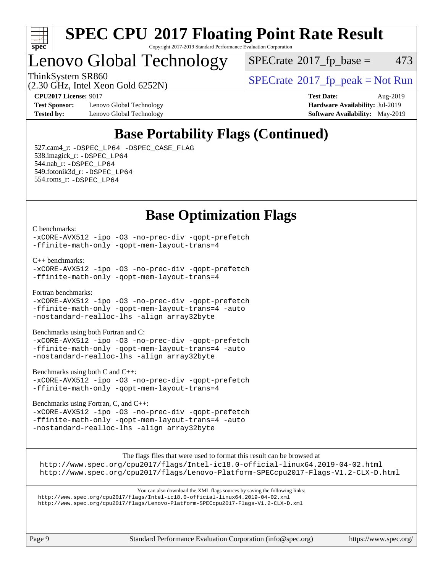

#### **[SPEC CPU](http://www.spec.org/auto/cpu2017/Docs/result-fields.html#SPECCPU2017FloatingPointRateResult)[2017 Floating Point Rate Result](http://www.spec.org/auto/cpu2017/Docs/result-fields.html#SPECCPU2017FloatingPointRateResult)** Copyright 2017-2019 Standard Performance Evaluation Corporation

### Lenovo Global Technology

 $SPECTate$ <sup>®</sup>[2017\\_fp\\_base =](http://www.spec.org/auto/cpu2017/Docs/result-fields.html#SPECrate2017fpbase) 473

(2.30 GHz, Intel Xeon Gold 6252N)

ThinkSystem SR860<br>  $SPECTI<sub>2</sub> Intel Yeso Gold 6252N$ 

**[Test Sponsor:](http://www.spec.org/auto/cpu2017/Docs/result-fields.html#TestSponsor)** Lenovo Global Technology **[Hardware Availability:](http://www.spec.org/auto/cpu2017/Docs/result-fields.html#HardwareAvailability)** Jul-2019 **[Tested by:](http://www.spec.org/auto/cpu2017/Docs/result-fields.html#Testedby)** Lenovo Global Technology **[Software Availability:](http://www.spec.org/auto/cpu2017/Docs/result-fields.html#SoftwareAvailability)** May-2019

**[CPU2017 License:](http://www.spec.org/auto/cpu2017/Docs/result-fields.html#CPU2017License)** 9017 **[Test Date:](http://www.spec.org/auto/cpu2017/Docs/result-fields.html#TestDate)** Aug-2019

### **[Base Portability Flags \(Continued\)](http://www.spec.org/auto/cpu2017/Docs/result-fields.html#BasePortabilityFlags)**

 527.cam4\_r: [-DSPEC\\_LP64](http://www.spec.org/cpu2017/results/res2019q3/cpu2017-20190902-17498.flags.html#suite_basePORTABILITY527_cam4_r_DSPEC_LP64) [-DSPEC\\_CASE\\_FLAG](http://www.spec.org/cpu2017/results/res2019q3/cpu2017-20190902-17498.flags.html#b527.cam4_r_baseCPORTABILITY_DSPEC_CASE_FLAG) 538.imagick\_r: [-DSPEC\\_LP64](http://www.spec.org/cpu2017/results/res2019q3/cpu2017-20190902-17498.flags.html#suite_basePORTABILITY538_imagick_r_DSPEC_LP64) 544.nab\_r: [-DSPEC\\_LP64](http://www.spec.org/cpu2017/results/res2019q3/cpu2017-20190902-17498.flags.html#suite_basePORTABILITY544_nab_r_DSPEC_LP64) 549.fotonik3d\_r: [-DSPEC\\_LP64](http://www.spec.org/cpu2017/results/res2019q3/cpu2017-20190902-17498.flags.html#suite_basePORTABILITY549_fotonik3d_r_DSPEC_LP64) 554.roms\_r: [-DSPEC\\_LP64](http://www.spec.org/cpu2017/results/res2019q3/cpu2017-20190902-17498.flags.html#suite_basePORTABILITY554_roms_r_DSPEC_LP64)

### **[Base Optimization Flags](http://www.spec.org/auto/cpu2017/Docs/result-fields.html#BaseOptimizationFlags)**

[C benchmarks](http://www.spec.org/auto/cpu2017/Docs/result-fields.html#Cbenchmarks):

[-xCORE-AVX512](http://www.spec.org/cpu2017/results/res2019q3/cpu2017-20190902-17498.flags.html#user_CCbase_f-xCORE-AVX512) [-ipo](http://www.spec.org/cpu2017/results/res2019q3/cpu2017-20190902-17498.flags.html#user_CCbase_f-ipo) [-O3](http://www.spec.org/cpu2017/results/res2019q3/cpu2017-20190902-17498.flags.html#user_CCbase_f-O3) [-no-prec-div](http://www.spec.org/cpu2017/results/res2019q3/cpu2017-20190902-17498.flags.html#user_CCbase_f-no-prec-div) [-qopt-prefetch](http://www.spec.org/cpu2017/results/res2019q3/cpu2017-20190902-17498.flags.html#user_CCbase_f-qopt-prefetch) [-ffinite-math-only](http://www.spec.org/cpu2017/results/res2019q3/cpu2017-20190902-17498.flags.html#user_CCbase_f_finite_math_only_cb91587bd2077682c4b38af759c288ed7c732db004271a9512da14a4f8007909a5f1427ecbf1a0fb78ff2a814402c6114ac565ca162485bbcae155b5e4258871) [-qopt-mem-layout-trans=4](http://www.spec.org/cpu2017/results/res2019q3/cpu2017-20190902-17498.flags.html#user_CCbase_f-qopt-mem-layout-trans_fa39e755916c150a61361b7846f310bcdf6f04e385ef281cadf3647acec3f0ae266d1a1d22d972a7087a248fd4e6ca390a3634700869573d231a252c784941a8)

[C++ benchmarks:](http://www.spec.org/auto/cpu2017/Docs/result-fields.html#CXXbenchmarks)

```
-xCORE-AVX512 -ipo -O3 -no-prec-div -qopt-prefetch
-ffinite-math-only -qopt-mem-layout-trans=4
```
[Fortran benchmarks](http://www.spec.org/auto/cpu2017/Docs/result-fields.html#Fortranbenchmarks):

[-xCORE-AVX512](http://www.spec.org/cpu2017/results/res2019q3/cpu2017-20190902-17498.flags.html#user_FCbase_f-xCORE-AVX512) [-ipo](http://www.spec.org/cpu2017/results/res2019q3/cpu2017-20190902-17498.flags.html#user_FCbase_f-ipo) [-O3](http://www.spec.org/cpu2017/results/res2019q3/cpu2017-20190902-17498.flags.html#user_FCbase_f-O3) [-no-prec-div](http://www.spec.org/cpu2017/results/res2019q3/cpu2017-20190902-17498.flags.html#user_FCbase_f-no-prec-div) [-qopt-prefetch](http://www.spec.org/cpu2017/results/res2019q3/cpu2017-20190902-17498.flags.html#user_FCbase_f-qopt-prefetch) [-ffinite-math-only](http://www.spec.org/cpu2017/results/res2019q3/cpu2017-20190902-17498.flags.html#user_FCbase_f_finite_math_only_cb91587bd2077682c4b38af759c288ed7c732db004271a9512da14a4f8007909a5f1427ecbf1a0fb78ff2a814402c6114ac565ca162485bbcae155b5e4258871) [-qopt-mem-layout-trans=4](http://www.spec.org/cpu2017/results/res2019q3/cpu2017-20190902-17498.flags.html#user_FCbase_f-qopt-mem-layout-trans_fa39e755916c150a61361b7846f310bcdf6f04e385ef281cadf3647acec3f0ae266d1a1d22d972a7087a248fd4e6ca390a3634700869573d231a252c784941a8) [-auto](http://www.spec.org/cpu2017/results/res2019q3/cpu2017-20190902-17498.flags.html#user_FCbase_f-auto) [-nostandard-realloc-lhs](http://www.spec.org/cpu2017/results/res2019q3/cpu2017-20190902-17498.flags.html#user_FCbase_f_2003_std_realloc_82b4557e90729c0f113870c07e44d33d6f5a304b4f63d4c15d2d0f1fab99f5daaed73bdb9275d9ae411527f28b936061aa8b9c8f2d63842963b95c9dd6426b8a) [-align array32byte](http://www.spec.org/cpu2017/results/res2019q3/cpu2017-20190902-17498.flags.html#user_FCbase_align_array32byte_b982fe038af199962ba9a80c053b8342c548c85b40b8e86eb3cc33dee0d7986a4af373ac2d51c3f7cf710a18d62fdce2948f201cd044323541f22fc0fffc51b6)

[Benchmarks using both Fortran and C](http://www.spec.org/auto/cpu2017/Docs/result-fields.html#BenchmarksusingbothFortranandC):

[-xCORE-AVX512](http://www.spec.org/cpu2017/results/res2019q3/cpu2017-20190902-17498.flags.html#user_CC_FCbase_f-xCORE-AVX512) [-ipo](http://www.spec.org/cpu2017/results/res2019q3/cpu2017-20190902-17498.flags.html#user_CC_FCbase_f-ipo) [-O3](http://www.spec.org/cpu2017/results/res2019q3/cpu2017-20190902-17498.flags.html#user_CC_FCbase_f-O3) [-no-prec-div](http://www.spec.org/cpu2017/results/res2019q3/cpu2017-20190902-17498.flags.html#user_CC_FCbase_f-no-prec-div) [-qopt-prefetch](http://www.spec.org/cpu2017/results/res2019q3/cpu2017-20190902-17498.flags.html#user_CC_FCbase_f-qopt-prefetch) [-ffinite-math-only](http://www.spec.org/cpu2017/results/res2019q3/cpu2017-20190902-17498.flags.html#user_CC_FCbase_f_finite_math_only_cb91587bd2077682c4b38af759c288ed7c732db004271a9512da14a4f8007909a5f1427ecbf1a0fb78ff2a814402c6114ac565ca162485bbcae155b5e4258871) [-qopt-mem-layout-trans=4](http://www.spec.org/cpu2017/results/res2019q3/cpu2017-20190902-17498.flags.html#user_CC_FCbase_f-qopt-mem-layout-trans_fa39e755916c150a61361b7846f310bcdf6f04e385ef281cadf3647acec3f0ae266d1a1d22d972a7087a248fd4e6ca390a3634700869573d231a252c784941a8) [-auto](http://www.spec.org/cpu2017/results/res2019q3/cpu2017-20190902-17498.flags.html#user_CC_FCbase_f-auto) [-nostandard-realloc-lhs](http://www.spec.org/cpu2017/results/res2019q3/cpu2017-20190902-17498.flags.html#user_CC_FCbase_f_2003_std_realloc_82b4557e90729c0f113870c07e44d33d6f5a304b4f63d4c15d2d0f1fab99f5daaed73bdb9275d9ae411527f28b936061aa8b9c8f2d63842963b95c9dd6426b8a) [-align array32byte](http://www.spec.org/cpu2017/results/res2019q3/cpu2017-20190902-17498.flags.html#user_CC_FCbase_align_array32byte_b982fe038af199962ba9a80c053b8342c548c85b40b8e86eb3cc33dee0d7986a4af373ac2d51c3f7cf710a18d62fdce2948f201cd044323541f22fc0fffc51b6)

[Benchmarks using both C and C++](http://www.spec.org/auto/cpu2017/Docs/result-fields.html#BenchmarksusingbothCandCXX):

[-xCORE-AVX512](http://www.spec.org/cpu2017/results/res2019q3/cpu2017-20190902-17498.flags.html#user_CC_CXXbase_f-xCORE-AVX512) [-ipo](http://www.spec.org/cpu2017/results/res2019q3/cpu2017-20190902-17498.flags.html#user_CC_CXXbase_f-ipo) [-O3](http://www.spec.org/cpu2017/results/res2019q3/cpu2017-20190902-17498.flags.html#user_CC_CXXbase_f-O3) [-no-prec-div](http://www.spec.org/cpu2017/results/res2019q3/cpu2017-20190902-17498.flags.html#user_CC_CXXbase_f-no-prec-div) [-qopt-prefetch](http://www.spec.org/cpu2017/results/res2019q3/cpu2017-20190902-17498.flags.html#user_CC_CXXbase_f-qopt-prefetch) [-ffinite-math-only](http://www.spec.org/cpu2017/results/res2019q3/cpu2017-20190902-17498.flags.html#user_CC_CXXbase_f_finite_math_only_cb91587bd2077682c4b38af759c288ed7c732db004271a9512da14a4f8007909a5f1427ecbf1a0fb78ff2a814402c6114ac565ca162485bbcae155b5e4258871) [-qopt-mem-layout-trans=4](http://www.spec.org/cpu2017/results/res2019q3/cpu2017-20190902-17498.flags.html#user_CC_CXXbase_f-qopt-mem-layout-trans_fa39e755916c150a61361b7846f310bcdf6f04e385ef281cadf3647acec3f0ae266d1a1d22d972a7087a248fd4e6ca390a3634700869573d231a252c784941a8)

[Benchmarks using Fortran, C, and C++:](http://www.spec.org/auto/cpu2017/Docs/result-fields.html#BenchmarksusingFortranCandCXX)

[-xCORE-AVX512](http://www.spec.org/cpu2017/results/res2019q3/cpu2017-20190902-17498.flags.html#user_CC_CXX_FCbase_f-xCORE-AVX512) [-ipo](http://www.spec.org/cpu2017/results/res2019q3/cpu2017-20190902-17498.flags.html#user_CC_CXX_FCbase_f-ipo) [-O3](http://www.spec.org/cpu2017/results/res2019q3/cpu2017-20190902-17498.flags.html#user_CC_CXX_FCbase_f-O3) [-no-prec-div](http://www.spec.org/cpu2017/results/res2019q3/cpu2017-20190902-17498.flags.html#user_CC_CXX_FCbase_f-no-prec-div) [-qopt-prefetch](http://www.spec.org/cpu2017/results/res2019q3/cpu2017-20190902-17498.flags.html#user_CC_CXX_FCbase_f-qopt-prefetch) [-ffinite-math-only](http://www.spec.org/cpu2017/results/res2019q3/cpu2017-20190902-17498.flags.html#user_CC_CXX_FCbase_f_finite_math_only_cb91587bd2077682c4b38af759c288ed7c732db004271a9512da14a4f8007909a5f1427ecbf1a0fb78ff2a814402c6114ac565ca162485bbcae155b5e4258871) [-qopt-mem-layout-trans=4](http://www.spec.org/cpu2017/results/res2019q3/cpu2017-20190902-17498.flags.html#user_CC_CXX_FCbase_f-qopt-mem-layout-trans_fa39e755916c150a61361b7846f310bcdf6f04e385ef281cadf3647acec3f0ae266d1a1d22d972a7087a248fd4e6ca390a3634700869573d231a252c784941a8) [-auto](http://www.spec.org/cpu2017/results/res2019q3/cpu2017-20190902-17498.flags.html#user_CC_CXX_FCbase_f-auto) [-nostandard-realloc-lhs](http://www.spec.org/cpu2017/results/res2019q3/cpu2017-20190902-17498.flags.html#user_CC_CXX_FCbase_f_2003_std_realloc_82b4557e90729c0f113870c07e44d33d6f5a304b4f63d4c15d2d0f1fab99f5daaed73bdb9275d9ae411527f28b936061aa8b9c8f2d63842963b95c9dd6426b8a) [-align array32byte](http://www.spec.org/cpu2017/results/res2019q3/cpu2017-20190902-17498.flags.html#user_CC_CXX_FCbase_align_array32byte_b982fe038af199962ba9a80c053b8342c548c85b40b8e86eb3cc33dee0d7986a4af373ac2d51c3f7cf710a18d62fdce2948f201cd044323541f22fc0fffc51b6)

[The flags files that were used to format this result can be browsed at](tmsearch)

<http://www.spec.org/cpu2017/flags/Intel-ic18.0-official-linux64.2019-04-02.html> <http://www.spec.org/cpu2017/flags/Lenovo-Platform-SPECcpu2017-Flags-V1.2-CLX-D.html>

[You can also download the XML flags sources by saving the following links:](tmsearch) <http://www.spec.org/cpu2017/flags/Intel-ic18.0-official-linux64.2019-04-02.xml> <http://www.spec.org/cpu2017/flags/Lenovo-Platform-SPECcpu2017-Flags-V1.2-CLX-D.xml>

Page 9 Standard Performance Evaluation Corporation [\(info@spec.org\)](mailto:info@spec.org) <https://www.spec.org/>